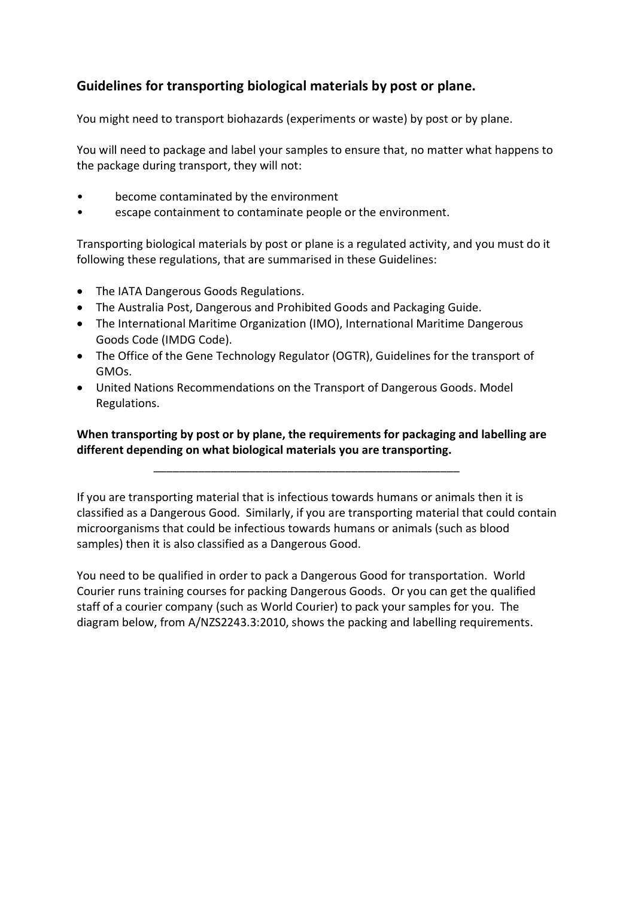# **Guidelines for transporting biological materials by post or plane.**

You might need to transport biohazards (experiments or waste) by post or by plane.

You will need to package and label your samples to ensure that, no matter what happens to the package during transport, they will not:

- become contaminated by the environment
- escape containment to contaminate people or the environment.

Transporting biological materials by post or plane is a regulated activity, and you must do it following these regulations, that are summarised in these Guidelines:

- The IATA Dangerous Goods Regulations.
- The Australia Post, Dangerous and Prohibited Goods and Packaging Guide.
- The International Maritime Organization (IMO), International Maritime Dangerous Goods Code (IMDG Code).
- The Office of the Gene Technology Regulator (OGTR), Guidelines for the transport of GMOs.
- United Nations Recommendations on the Transport of Dangerous Goods. Model Regulations.

# **When transporting by post or by plane, the requirements for packaging and labelling are different depending on what biological materials you are transporting.**

\_\_\_\_\_\_\_\_\_\_\_\_\_\_\_\_\_\_\_\_\_\_\_\_\_\_\_\_\_\_\_\_\_\_\_\_\_\_\_\_\_\_\_\_\_\_\_\_

If you are transporting material that is infectious towards humans or animals then it is classified as a Dangerous Good. Similarly, if you are transporting material that could contain microorganisms that could be infectious towards humans or animals (such as blood samples) then it is also classified as a Dangerous Good.

You need to be qualified in order to pack a Dangerous Good for transportation. World Courier runs training courses for packing Dangerous Goods. Or you can get the qualified staff of a courier company (such as World Courier) to pack your samples for you. The diagram below, from A/NZS2243.3:2010, shows the packing and labelling requirements.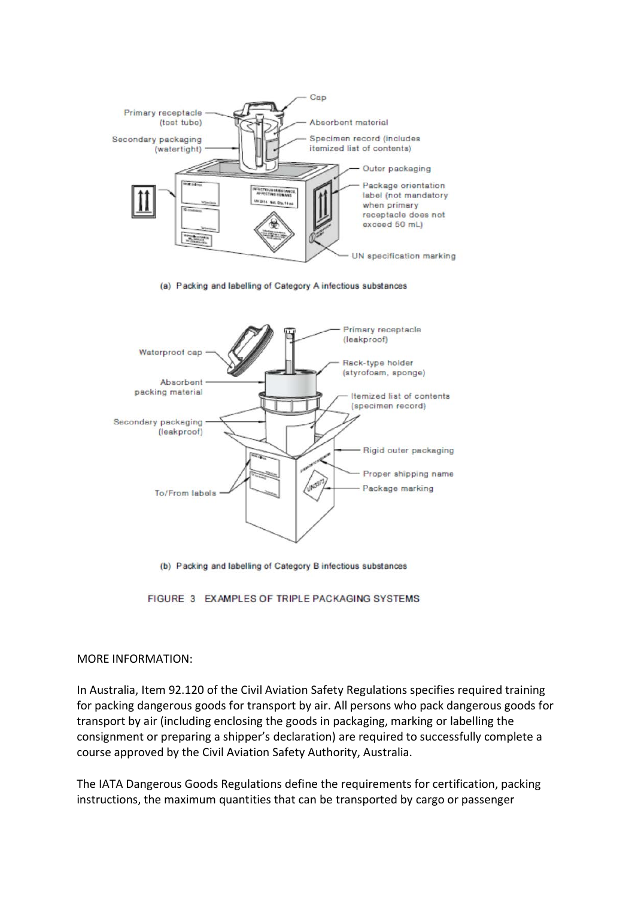

(a) Packing and labelling of Category A infectious substances



(b) Packing and labelling of Category B infectious substances

FIGURE 3 EXAMPLES OF TRIPLE PACKAGING SYSTEMS

#### MORE INFORMATION:

In Australia, Item 92.120 of the Civil Aviation Safety Regulations specifies required training for packing dangerous goods for transport by air. All persons who pack dangerous goods for transport by air (including enclosing the goods in packaging, marking or labelling the consignment or preparing a shipper's declaration) are required to successfully complete a course approved by the Civil Aviation Safety Authority, Australia.

The IATA Dangerous Goods Regulations define the requirements for certification, packing instructions, the maximum quantities that can be transported by cargo or passenger